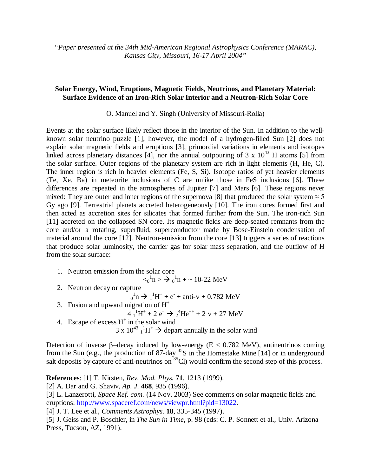*"Paper presented at the 34th Mid-American Regional Astrophysics Conference (MARAC), Kansas City, Missouri, 16-17 April 2004"*

## **Solar Energy, Wind, Eruptions, Magnetic Fields, Neutrinos, and Planetary Material: Surface Evidence of an Iron-Rich Solar Interior and a Neutron-Rich Solar Core**

O. Manuel and Y. Singh (University of Missouri-Rolla)

Events at the solar surface likely reflect those in the interior of the Sun. In addition to the wellknown solar neutrino puzzle [1], however, the model of a hydrogen-filled Sun [2] does not explain solar magnetic fields and eruptions [3], primordial variations in elements and isotopes linked across planetary distances [4], nor the annual outpouring of 3 x  $10^{43}$  H atoms [5] from the solar surface. Outer regions of the planetary system are rich in light elements (H, He, C). The inner region is rich in heavier elements (Fe, S, Si). Isotope ratios of yet heavier elements (Te, Xe, Ba) in meteorite inclusions of C are unlike those in FeS inclusions [6]. These differences are repeated in the atmospheres of Jupiter [7] and Mars [6]. These regions never mixed: They are outer and inner regions of the supernova [8] that produced the solar system  $\approx$  5 Gy ago [9]. Terrestrial planets accreted heterogeneously [10]. The iron cores formed first and then acted as accretion sites for silicates that formed further from the Sun. The iron-rich Sun [11] accreted on the collapsed SN core. Its magnetic fields are deep-seated remnants from the core and/or a rotating, superfluid, superconductor made by Bose-Einstein condensation of material around the core [12]. Neutron-emission from the core [13] triggers a series of reactions that produce solar luminosity, the carrier gas for solar mass separation, and the outflow of H from the solar surface:

- 1. Neutron emission from the solar core  $\langle 0 \rangle^1$ n >  $\rightarrow 0 \rangle^1$ n + ~ 10-22 MeV 2. Neutron decay or capture  $_{0}^{1}n \rightarrow _{1}^{1}H^{+} + e^{-} + \text{anti-v} + 0.782 \text{ MeV}$ 3. Fusion and upward migration of  $H^+$ 
	- $4^{1}_{1}H^{+} + 2 e^{-} \rightarrow 2^{4}He^{++} + 2 v + 27 MeV$
	- 4. Escape of excess  $H^+$  in the solar wind  $3 \times 10^{43}$   $^{1}_{1}$  H<sup>+</sup>  $\rightarrow$  depart annually in the solar wind

Detection of inverse  $\beta$ -decay induced by low-energy (E < 0.782 MeV), antineutrinos coming from the Sun (e.g., the production of 87-day  $35S$  in the Homestake Mine [14] or in underground salt deposits by capture of anti-neutrinos on  $^{35}$ Cl) would confirm the second step of this process.

**References**: [1] T. Kirsten, *Rev. Mod. Phys.* **71**, 1213 (1999).

[2] A. Dar and G. Shaviv, *Ap. J.* **468**, 935 (1996).

[3] L. Lanzerotti, *Space Ref. com.* (14 Nov. 2003) See comments on solar magnetic fields and eruptions:<http://www.spaceref.com/news/viewpr.html?pid=13022>.

[4] J. T. Lee et al., *Comments Astrophys.* **18**, 335-345 (1997).

[5] J. Geiss and P. Boschler, in *The Sun in Time*, p. 98 (eds: C. P. Sonnett et al., Univ. Arizona Press, Tucson, AZ, 1991).